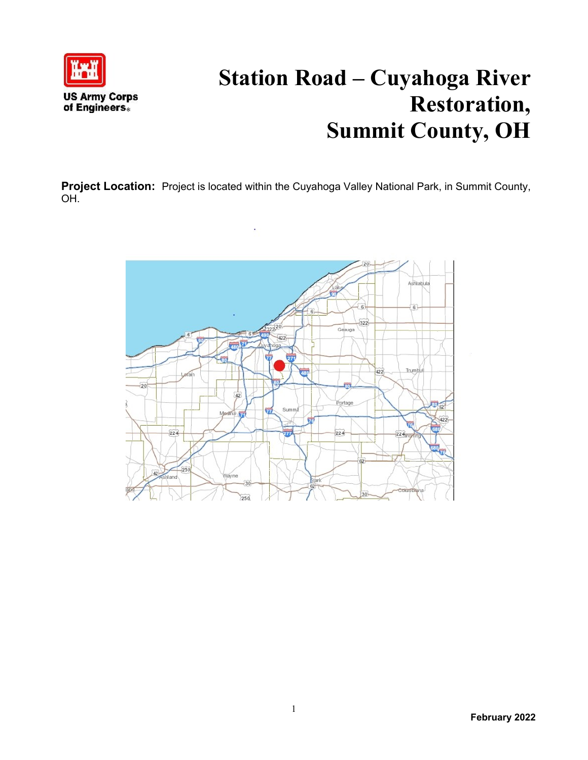

## **Station Road – Cuyahoga River Restoration, Summit County, OH**

**Project Location:** Project is located within the Cuyahoga Valley National Park, in Summit County, OH.

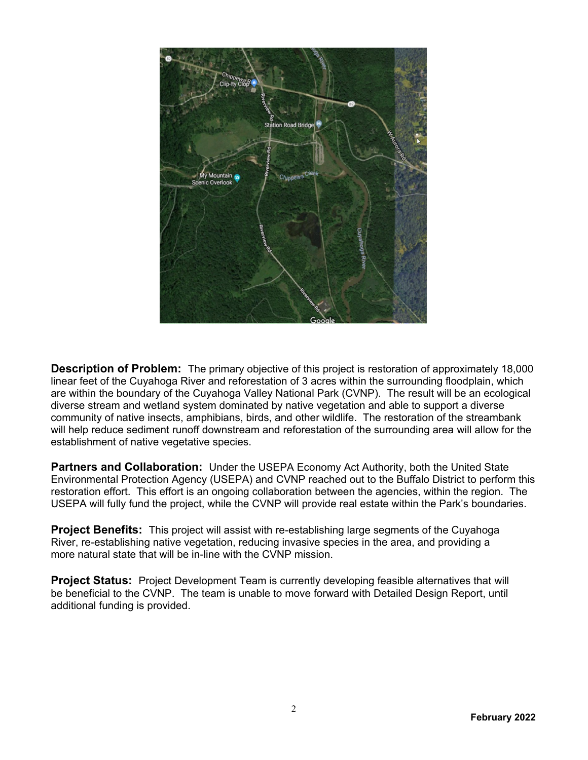

**Description of Problem:** The primary objective of this project is restoration of approximately 18,000 linear feet of the Cuyahoga River and reforestation of 3 acres within the surrounding floodplain, which are within the boundary of the Cuyahoga Valley National Park (CVNP). The result will be an ecological diverse stream and wetland system dominated by native vegetation and able to support a diverse community of native insects, amphibians, birds, and other wildlife. The restoration of the streambank will help reduce sediment runoff downstream and reforestation of the surrounding area will allow for the establishment of native vegetative species.

**Partners and Collaboration:** Under the USEPA Economy Act Authority, both the United State Environmental Protection Agency (USEPA) and CVNP reached out to the Buffalo District to perform this restoration effort. This effort is an ongoing collaboration between the agencies, within the region. The USEPA will fully fund the project, while the CVNP will provide real estate within the Park's boundaries.

**Project Benefits:** This project will assist with re-establishing large segments of the Cuyahoga River, re-establishing native vegetation, reducing invasive species in the area, and providing a more natural state that will be in-line with the CVNP mission.

**Project Status:** Project Development Team is currently developing feasible alternatives that will be beneficial to the CVNP. The team is unable to move forward with Detailed Design Report, until additional funding is provided.